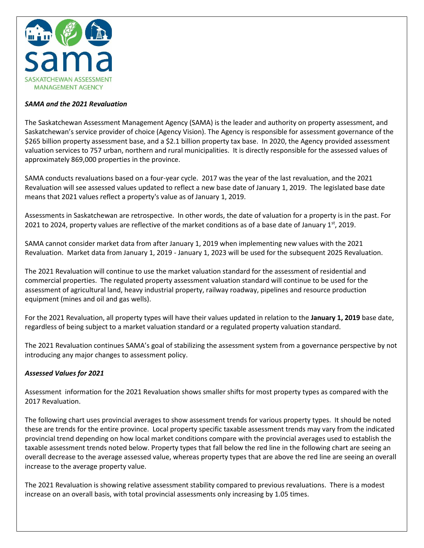

## *SAMA and the 2021 Revaluation*

The Saskatchewan Assessment Management Agency (SAMA) is the leader and authority on property assessment, and Saskatchewan's service provider of choice (Agency Vision). The Agency is responsible for assessment governance of the \$265 billion property assessment base, and a \$2.1 billion property tax base. In 2020, the Agency provided assessment valuation services to 757 urban, northern and rural municipalities. It is directly responsible for the assessed values of approximately 869,000 properties in the province.

SAMA conducts revaluations based on a four-year cycle. 2017 was the year of the last revaluation, and the 2021 Revaluation will see assessed values updated to reflect a new base date of January 1, 2019. The legislated base date means that 2021 values reflect a property's value as of January 1, 2019.

Assessments in Saskatchewan are retrospective. In other words, the date of valuation for a property is in the past. For 2021 to 2024, property values are reflective of the market conditions as of a base date of January  $1<sup>st</sup>$ , 2019.

SAMA cannot consider market data from after January 1, 2019 when implementing new values with the 2021 Revaluation. Market data from January 1, 2019 - January 1, 2023 will be used for the subsequent 2025 Revaluation.

The 2021 Revaluation will continue to use the market valuation standard for the assessment of residential and commercial properties. The regulated property assessment valuation standard will continue to be used for the assessment of agricultural land, heavy industrial property, railway roadway, pipelines and resource production equipment (mines and oil and gas wells).

For the 2021 Revaluation, all property types will have their values updated in relation to the **January 1, 2019** base date, regardless of being subject to a market valuation standard or a regulated property valuation standard.

The 2021 Revaluation continues SAMA's goal of stabilizing the assessment system from a governance perspective by not introducing any major changes to assessment policy.

## *Assessed Values for 2021*

Assessment information for the 2021 Revaluation shows smaller shifts for most property types as compared with the 2017 Revaluation.

The following chart uses provincial averages to show assessment trends for various property types. It should be noted these are trends for the entire province. Local property specific taxable assessment trends may vary from the indicated provincial trend depending on how local market conditions compare with the provincial averages used to establish the taxable assessment trends noted below. Property types that fall below the red line in the following chart are seeing an overall decrease to the average assessed value, whereas property types that are above the red line are seeing an overall increase to the average property value.

The 2021 Revaluation is showing relative assessment stability compared to previous revaluations. There is a modest increase on an overall basis, with total provincial assessments only increasing by 1.05 times.